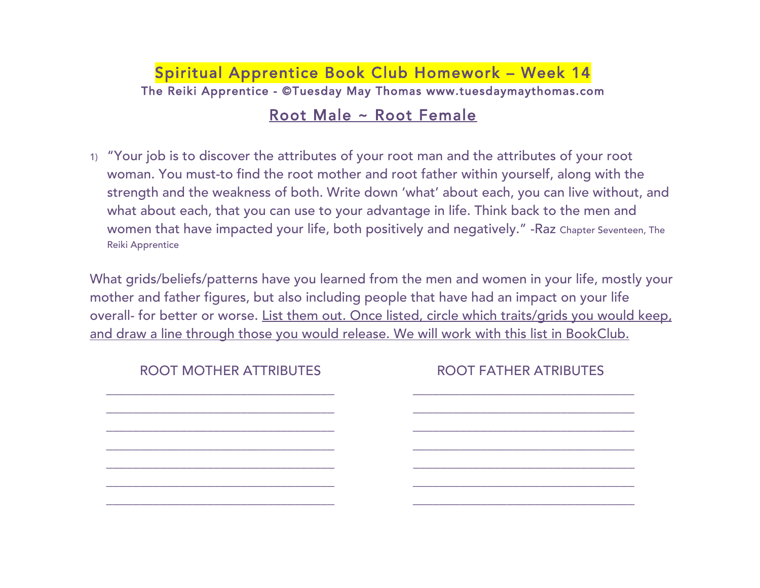## Spiritual Apprentice Book Club Homework – Week 14 The Reiki Apprentice - ©Tuesday May Thomas www.tuesdaymaythomas.com

## Root Male ~ Root Female

1) "Your job is to discover the attributes of your root man and the attributes of your root woman. You must-to find the root mother and root father within yourself, along with the strength and the weakness of both. Write down 'what' about each, you can live without, and what about each, that you can use to your advantage in life. Think back to the men and women that have impacted your life, both positively and negatively." -Raz Chapter Seventeen, The Reiki Apprentice

What grids/beliefs/patterns have you learned from the men and women in your life, mostly your mother and father figures, but also including people that have had an impact on your life overall- for better or worse. List them out. Once listed, circle which traits/grids you would keep, and draw a line through those you would release. We will work with this list in BookClub.

| <b>ROOT MOTHER ATTRIBUTES</b> | <b>ROOT FATHER ATRIBUTES</b> |
|-------------------------------|------------------------------|
|                               |                              |
|                               |                              |
|                               |                              |
|                               |                              |
|                               |                              |